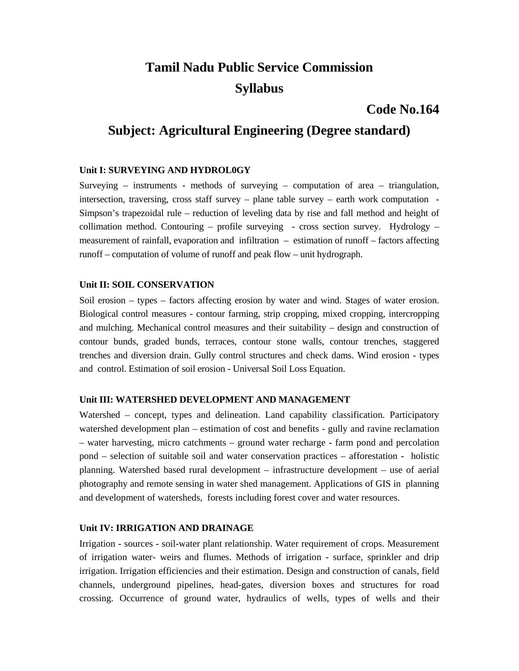# **Tamil Nadu Public Service Commission Syllabus**

# **Code No.164**

# **Subject: Agricultural Engineering (Degree standard)**

# **Unit I: SURVEYING AND HYDROL0GY**

Surveying – instruments - methods of surveying – computation of area – triangulation, intersection, traversing, cross staff survey – plane table survey – earth work computation - Simpson's trapezoidal rule – reduction of leveling data by rise and fall method and height of collimation method. Contouring – profile surveying - cross section survey. Hydrology – measurement of rainfall, evaporation and infiltration – estimation of runoff – factors affecting runoff – computation of volume of runoff and peak flow – unit hydrograph.

# **Unit II: SOIL CONSERVATION**

Soil erosion – types – factors affecting erosion by water and wind. Stages of water erosion. Biological control measures - contour farming, strip cropping, mixed cropping, intercropping and mulching. Mechanical control measures and their suitability – design and construction of contour bunds, graded bunds, terraces, contour stone walls, contour trenches, staggered trenches and diversion drain. Gully control structures and check dams. Wind erosion - types and control. Estimation of soil erosion - Universal Soil Loss Equation.

### **Unit III: WATERSHED DEVELOPMENT AND MANAGEMENT**

Watershed – concept, types and delineation. Land capability classification. Participatory watershed development plan – estimation of cost and benefits - gully and ravine reclamation – water harvesting, micro catchments – ground water recharge - farm pond and percolation pond – selection of suitable soil and water conservation practices – afforestation - holistic planning. Watershed based rural development – infrastructure development – use of aerial photography and remote sensing in water shed management. Applications of GIS in planning and development of watersheds, forests including forest cover and water resources.

### **Unit IV: IRRIGATION AND DRAINAGE**

Irrigation - sources - soil-water plant relationship. Water requirement of crops. Measurement of irrigation water- weirs and flumes. Methods of irrigation - surface, sprinkler and drip irrigation. Irrigation efficiencies and their estimation. Design and construction of canals, field channels, underground pipelines, head-gates, diversion boxes and structures for road crossing. Occurrence of ground water, hydraulics of wells, types of wells and their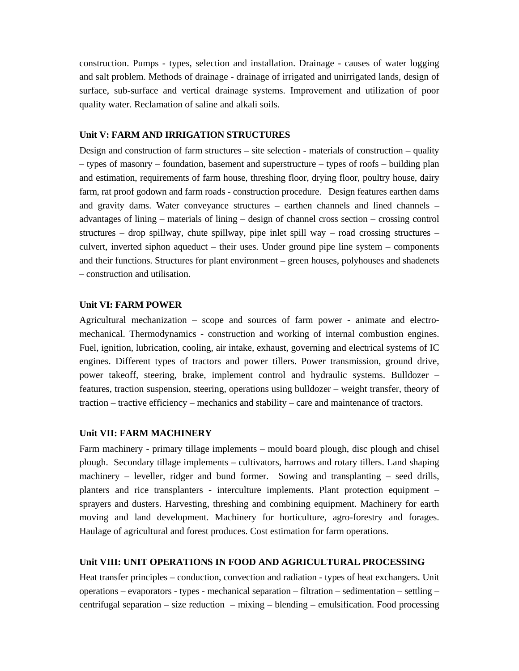construction. Pumps - types, selection and installation. Drainage - causes of water logging and salt problem. Methods of drainage - drainage of irrigated and unirrigated lands, design of surface, sub-surface and vertical drainage systems. Improvement and utilization of poor quality water. Reclamation of saline and alkali soils.

# **Unit V: FARM AND IRRIGATION STRUCTURES**

Design and construction of farm structures – site selection - materials of construction – quality – types of masonry – foundation, basement and superstructure – types of roofs – building plan and estimation, requirements of farm house, threshing floor, drying floor, poultry house, dairy farm, rat proof godown and farm roads - construction procedure. Design features earthen dams and gravity dams. Water conveyance structures – earthen channels and lined channels – advantages of lining – materials of lining – design of channel cross section – crossing control structures – drop spillway, chute spillway, pipe inlet spill way – road crossing structures – culvert, inverted siphon aqueduct – their uses. Under ground pipe line system – components and their functions. Structures for plant environment – green houses, polyhouses and shadenets – construction and utilisation.

# **Unit VI: FARM POWER**

Agricultural mechanization – scope and sources of farm power - animate and electromechanical. Thermodynamics - construction and working of internal combustion engines. Fuel, ignition, lubrication, cooling, air intake, exhaust, governing and electrical systems of IC engines. Different types of tractors and power tillers. Power transmission, ground drive, power takeoff, steering, brake, implement control and hydraulic systems. Bulldozer – features, traction suspension, steering, operations using bulldozer – weight transfer, theory of traction – tractive efficiency – mechanics and stability – care and maintenance of tractors.

### **Unit VII: FARM MACHINERY**

Farm machinery - primary tillage implements – mould board plough, disc plough and chisel plough. Secondary tillage implements – cultivators, harrows and rotary tillers. Land shaping machinery – leveller, ridger and bund former. Sowing and transplanting – seed drills, planters and rice transplanters - interculture implements. Plant protection equipment – sprayers and dusters. Harvesting, threshing and combining equipment. Machinery for earth moving and land development. Machinery for horticulture, agro-forestry and forages. Haulage of agricultural and forest produces. Cost estimation for farm operations.

### **Unit VIII: UNIT OPERATIONS IN FOOD AND AGRICULTURAL PROCESSING**

Heat transfer principles – conduction, convection and radiation - types of heat exchangers. Unit operations – evaporators - types - mechanical separation – filtration – sedimentation – settling – centrifugal separation – size reduction – mixing – blending – emulsification. Food processing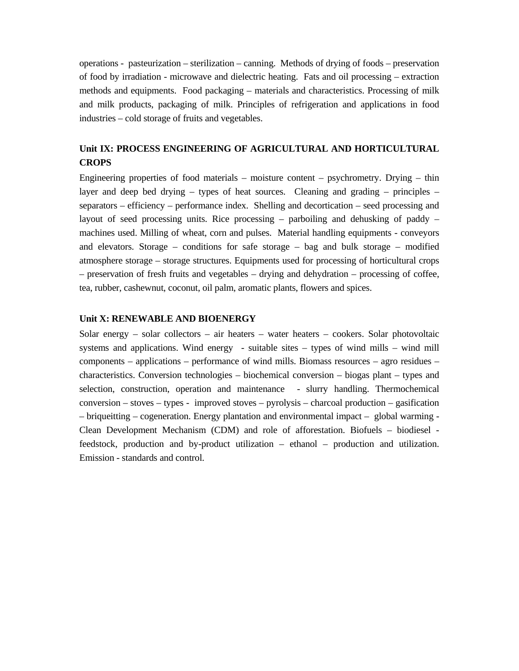operations - pasteurization – sterilization – canning. Methods of drying of foods – preservation of food by irradiation - microwave and dielectric heating. Fats and oil processing – extraction methods and equipments. Food packaging – materials and characteristics. Processing of milk and milk products, packaging of milk. Principles of refrigeration and applications in food industries – cold storage of fruits and vegetables.

# **Unit IX: PROCESS ENGINEERING OF AGRICULTURAL AND HORTICULTURAL CROPS**

Engineering properties of food materials – moisture content – psychrometry. Drying – thin layer and deep bed drying – types of heat sources. Cleaning and grading – principles – separators – efficiency – performance index. Shelling and decortication – seed processing and layout of seed processing units. Rice processing – parboiling and dehusking of paddy – machines used. Milling of wheat, corn and pulses. Material handling equipments - conveyors and elevators. Storage – conditions for safe storage – bag and bulk storage – modified atmosphere storage – storage structures. Equipments used for processing of horticultural crops – preservation of fresh fruits and vegetables – drying and dehydration – processing of coffee, tea, rubber, cashewnut, coconut, oil palm, aromatic plants, flowers and spices.

#### **Unit X: RENEWABLE AND BIOENERGY**

Solar energy – solar collectors – air heaters – water heaters – cookers. Solar photovoltaic systems and applications. Wind energy - suitable sites – types of wind mills – wind mill components – applications – performance of wind mills. Biomass resources – agro residues – characteristics. Conversion technologies – biochemical conversion – biogas plant – types and selection, construction, operation and maintenance - slurry handling. Thermochemical conversion – stoves – types - improved stoves – pyrolysis – charcoal production – gasification – briqueitting – cogeneration. Energy plantation and environmental impact – global warming - Clean Development Mechanism (CDM) and role of afforestation. Biofuels – biodiesel feedstock, production and by-product utilization – ethanol – production and utilization. Emission - standards and control.